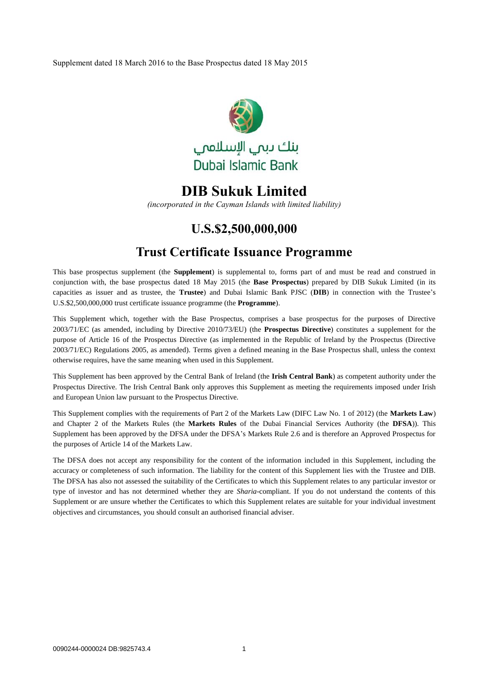Supplement dated 18 March 2016 to the Base Prospectus dated 18 May 2015



# **DIB Sukuk Limited**

*(incorporated in the Cayman Islands with limited liability)*

# **U.S.\$2,500,000,000**

# **Trust Certificate Issuance Programme**

This base prospectus supplement (the **Supplement**) is supplemental to, forms part of and must be read and construed in conjunction with, the base prospectus dated 18 May 2015 (the **Base Prospectus**) prepared by DIB Sukuk Limited (in its capacities as issuer and as trustee, the **Trustee**) and Dubai Islamic Bank PJSC (**DIB**) in connection with the Trustee's U.S.\$2,500,000,000 trust certificate issuance programme (the **Programme**).

This Supplement which, together with the Base Prospectus, comprises a base prospectus for the purposes of Directive 2003/71/EC (as amended, including by Directive 2010/73/EU) (the **Prospectus Directive**) constitutes a supplement for the purpose of Article 16 of the Prospectus Directive (as implemented in the Republic of Ireland by the Prospectus (Directive 2003/71/EC) Regulations 2005, as amended). Terms given a defined meaning in the Base Prospectus shall, unless the context otherwise requires, have the same meaning when used in this Supplement.

This Supplement has been approved by the Central Bank of Ireland (the **Irish Central Bank**) as competent authority under the Prospectus Directive. The Irish Central Bank only approves this Supplement as meeting the requirements imposed under Irish and European Union law pursuant to the Prospectus Directive.

This Supplement complies with the requirements of Part 2 of the Markets Law (DIFC Law No. 1 of 2012) (the **Markets Law**) and Chapter 2 of the Markets Rules (the **Markets Rules** of the Dubai Financial Services Authority (the **DFSA**)). This Supplement has been approved by the DFSA under the DFSA's Markets Rule 2.6 and is therefore an Approved Prospectus for the purposes of Article 14 of the Markets Law.

The DFSA does not accept any responsibility for the content of the information included in this Supplement, including the accuracy or completeness of such information. The liability for the content of this Supplement lies with the Trustee and DIB. The DFSA has also not assessed the suitability of the Certificates to which this Supplement relates to any particular investor or type of investor and has not determined whether they are *Sharia*-compliant. If you do not understand the contents of this Supplement or are unsure whether the Certificates to which this Supplement relates are suitable for your individual investment objectives and circumstances, you should consult an authorised financial adviser.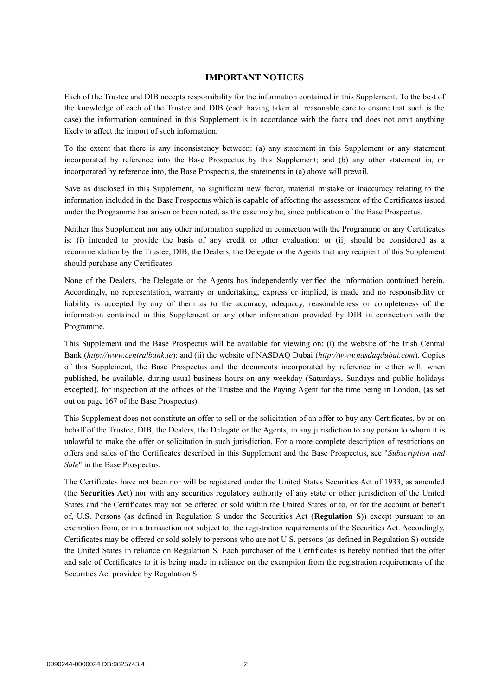### **IMPORTANT NOTICES**

Each of the Trustee and DIB accepts responsibility for the information contained in this Supplement. To the best of the knowledge of each of the Trustee and DIB (each having taken all reasonable care to ensure that such is the case) the information contained in this Supplement is in accordance with the facts and does not omit anything likely to affect the import of such information.

To the extent that there is any inconsistency between: (a) any statement in this Supplement or any statement incorporated by reference into the Base Prospectus by this Supplement; and (b) any other statement in, or incorporated by reference into, the Base Prospectus, the statements in (a) above will prevail.

Save as disclosed in this Supplement, no significant new factor, material mistake or inaccuracy relating to the information included in the Base Prospectus which is capable of affecting the assessment of the Certificates issued under the Programme has arisen or been noted, as the case may be, since publication of the Base Prospectus.

Neither this Supplement nor any other information supplied in connection with the Programme or any Certificates is: (i) intended to provide the basis of any credit or other evaluation; or (ii) should be considered as a recommendation by the Trustee, DIB, the Dealers, the Delegate or the Agents that any recipient of this Supplement should purchase any Certificates.

None of the Dealers, the Delegate or the Agents has independently verified the information contained herein. Accordingly, no representation, warranty or undertaking, express or implied, is made and no responsibility or liability is accepted by any of them as to the accuracy, adequacy, reasonableness or completeness of the information contained in this Supplement or any other information provided by DIB in connection with the Programme.

This Supplement and the Base Prospectus will be available for viewing on: (i) the website of the Irish Central Bank (*http://www.centralbank.ie*); and (ii) the website of NASDAQ Dubai (*http://www.nasdaqdubai.com*). Copies of this Supplement, the Base Prospectus and the documents incorporated by reference in either will, when published, be available, during usual business hours on any weekday (Saturdays, Sundays and public holidays excepted), for inspection at the offices of the Trustee and the Paying Agent for the time being in London, (as set out on page 167 of the Base Prospectus).

This Supplement does not constitute an offer to sell or the solicitation of an offer to buy any Certificates, by or on behalf of the Trustee, DIB, the Dealers, the Delegate or the Agents, in any jurisdiction to any person to whom it is unlawful to make the offer or solicitation in such jurisdiction. For a more complete description of restrictions on offers and sales of the Certificates described in this Supplement and the Base Prospectus, see "*Subscription and Sale*" in the Base Prospectus.

The Certificates have not been nor will be registered under the United States Securities Act of 1933, as amended (the **Securities Act**) nor with any securities regulatory authority of any state or other jurisdiction of the United States and the Certificates may not be offered or sold within the United States or to, or for the account or benefit of, U.S. Persons (as defined in Regulation S under the Securities Act (**Regulation S**)) except pursuant to an exemption from, or in a transaction not subject to, the registration requirements of the Securities Act. Accordingly, Certificates may be offered or sold solely to persons who are not U.S. persons (as defined in Regulation S) outside the United States in reliance on Regulation S. Each purchaser of the Certificates is hereby notified that the offer and sale of Certificates to it is being made in reliance on the exemption from the registration requirements of the Securities Act provided by Regulation S.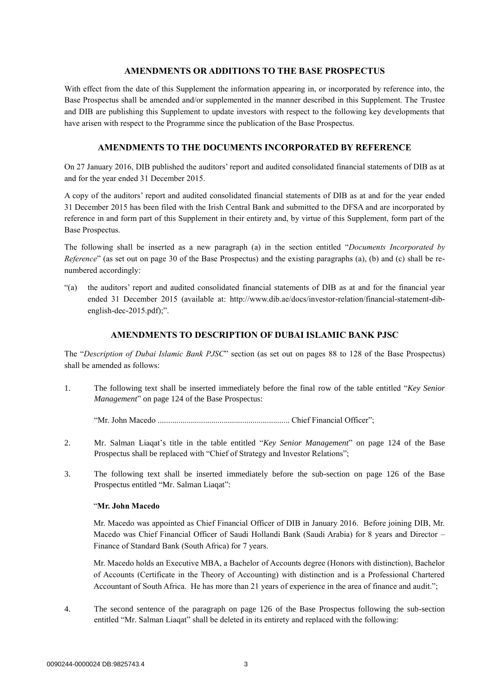### **AMENDMENTS OR ADDITIONS TO THE BASE PROSPECTUS**

With effect from the date of this Supplement the information appearing in, or incorporated by reference into, the Base Prospectus shall be amended and/or supplemented in the manner described in this Supplement. The Trustee and DIB are publishing this Supplement to update investors with respect to the following key developments that have arisen with respect to the Programme since the publication of the Base Prospectus.

# **AMENDMENTS TO THE DOCUMENTS INCORPORATED BY REFERENCE**

On 27 January 2016, DIB published the auditors' report and audited consolidated financial statements of DIB as at and for the year ended 31 December 2015.

A copy of the auditors' report and audited consolidated financial statements of DIB as at and for the year ended 31 December 2015 has been filed with the Irish Central Bank and submitted to the DFSA and are incorporated by reference in and form part of this Supplement in their entirety and, by virtue of this Supplement, form part of the Base Prospectus.

The following shall be inserted as a new paragraph (a) in the section entitled "*Documents Incorporated by Reference*" (as set out on page 30 of the Base Prospectus) and the existing paragraphs (a), (b) and (c) shall be renumbered accordingly:

"(a) the auditors' report and audited consolidated financial statements of DIB as at and for the financial year ended 31 December 2015 (available at: http://www.dib.ae/docs/investor-relation/financial-statement-dibenglish-dec-2015.pdf);".

# **AMENDMENTS TO DESCRIPTION OF DUBAI ISLAMIC BANK PJSC**

The "*Description of Dubai Islamic Bank PJSC*" section (as set out on pages 88 to 128 of the Base Prospectus) shall be amended as follows:

1. The following text shall be inserted immediately before the final row of the table entitled "*Key Senior Management*" on page 124 of the Base Prospectus:

"Mr. John Macedo ................................................................ Chief Financial Officer";

- 2. Mr. Salman Liaqat's title in the table entitled "*Key Senior Management*" on page 124 of the Base Prospectus shall be replaced with "Chief of Strategy and Investor Relations";
- 3. The following text shall be inserted immediately before the sub-section on page 126 of the Base Prospectus entitled "Mr. Salman Liaqat":

#### "**Mr. John Macedo**

Mr. Macedo was appointed as Chief Financial Officer of DIB in January 2016. Before joining DIB, Mr. Macedo was Chief Financial Officer of Saudi Hollandi Bank (Saudi Arabia) for 8 years and Director – Finance of Standard Bank (South Africa) for 7 years.

Mr. Macedo holds an Executive MBA, a Bachelor of Accounts degree (Honors with distinction), Bachelor of Accounts (Certificate in the Theory of Accounting) with distinction and is a Professional Chartered Accountant of South Africa. He has more than 21 years of experience in the area of finance and audit.";

4. The second sentence of the paragraph on page 126 of the Base Prospectus following the sub-section entitled "Mr. Salman Liaqat" shall be deleted in its entirety and replaced with the following: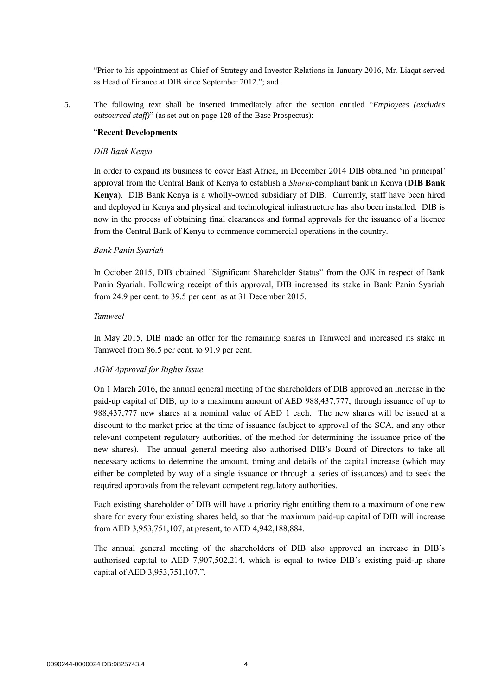"Prior to his appointment as Chief of Strategy and Investor Relations in January 2016, Mr. Liaqat served as Head of Finance at DIB since September 2012."; and

5. The following text shall be inserted immediately after the section entitled "*Employees (excludes outsourced staff)*" (as set out on page 128 of the Base Prospectus):

#### "**Recent Developments**

#### *DIB Bank Kenya*

In order to expand its business to cover East Africa, in December 2014 DIB obtained 'in principal' approval from the Central Bank of Kenya to establish a *Sharia*-compliant bank in Kenya (**DIB Bank Kenya**). DIB Bank Kenya is a wholly-owned subsidiary of DIB. Currently, staff have been hired and deployed in Kenya and physical and technological infrastructure has also been installed. DIB is now in the process of obtaining final clearances and formal approvals for the issuance of a licence from the Central Bank of Kenya to commence commercial operations in the country.

#### *Bank Panin Syariah*

In October 2015, DIB obtained "Significant Shareholder Status" from the OJK in respect of Bank Panin Syariah. Following receipt of this approval, DIB increased its stake in Bank Panin Syariah from 24.9 per cent. to 39.5 per cent. as at 31 December 2015.

#### *Tamweel*

In May 2015, DIB made an offer for the remaining shares in Tamweel and increased its stake in Tamweel from 86.5 per cent. to 91.9 per cent.

#### *AGM Approval for Rights Issue*

On 1 March 2016, the annual general meeting of the shareholders of DIB approved an increase in the paid-up capital of DIB, up to a maximum amount of AED 988,437,777, through issuance of up to 988,437,777 new shares at a nominal value of AED 1 each. The new shares will be issued at a discount to the market price at the time of issuance (subject to approval of the SCA, and any other relevant competent regulatory authorities, of the method for determining the issuance price of the new shares). The annual general meeting also authorised DIB's Board of Directors to take all necessary actions to determine the amount, timing and details of the capital increase (which may either be completed by way of a single issuance or through a series of issuances) and to seek the required approvals from the relevant competent regulatory authorities.

Each existing shareholder of DIB will have a priority right entitling them to a maximum of one new share for every four existing shares held, so that the maximum paid-up capital of DIB will increase from AED 3,953,751,107, at present, to AED 4,942,188,884.

The annual general meeting of the shareholders of DIB also approved an increase in DIB's authorised capital to AED 7,907,502,214, which is equal to twice DIB's existing paid-up share capital of AED 3,953,751,107.".